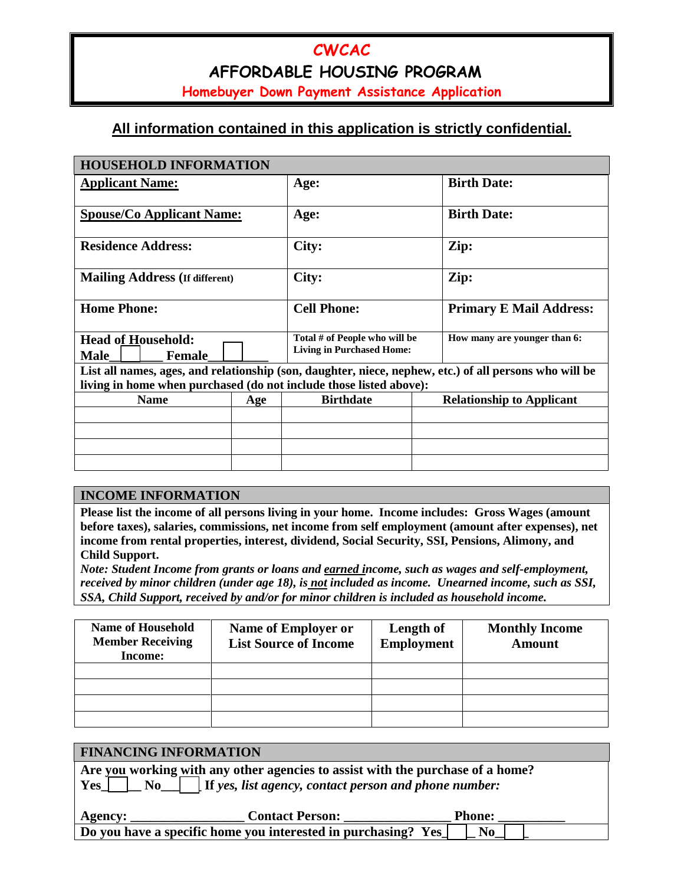# **CWCAC AFFORDABLE HOUSING PROGRAM**

**Homebuyer Down Payment Assistance Application**

## **All information contained in this application is strictly confidential.**

| <b>HOUSEHOLD INFORMATION</b>                                       |     |                                                                   |                                                                                                        |  |  |  |
|--------------------------------------------------------------------|-----|-------------------------------------------------------------------|--------------------------------------------------------------------------------------------------------|--|--|--|
| <b>Applicant Name:</b>                                             |     | Age:                                                              | <b>Birth Date:</b>                                                                                     |  |  |  |
| <b>Spouse/Co Applicant Name:</b>                                   |     | Age:                                                              | <b>Birth Date:</b>                                                                                     |  |  |  |
| <b>Residence Address:</b>                                          |     | City:                                                             | Zip:                                                                                                   |  |  |  |
| <b>Mailing Address (If different)</b>                              |     | City:                                                             | Zip:                                                                                                   |  |  |  |
| <b>Home Phone:</b>                                                 |     | <b>Cell Phone:</b>                                                | <b>Primary E Mail Address:</b>                                                                         |  |  |  |
| <b>Head of Household:</b><br><b>Male</b><br><b>Female</b>          |     | Total # of People who will be<br><b>Living in Purchased Home:</b> | How many are younger than 6:                                                                           |  |  |  |
|                                                                    |     |                                                                   | List all names, ages, and relationship (son, daughter, niece, nephew, etc.) of all persons who will be |  |  |  |
| living in home when purchased (do not include those listed above): |     |                                                                   |                                                                                                        |  |  |  |
| <b>Name</b>                                                        | Age | <b>Birthdate</b>                                                  | <b>Relationship to Applicant</b>                                                                       |  |  |  |
|                                                                    |     |                                                                   |                                                                                                        |  |  |  |
|                                                                    |     |                                                                   |                                                                                                        |  |  |  |
|                                                                    |     |                                                                   |                                                                                                        |  |  |  |
|                                                                    |     |                                                                   |                                                                                                        |  |  |  |

#### **INCOME INFORMATION**

**Please list the income of all persons living in your home. Income includes: Gross Wages (amount before taxes), salaries, commissions, net income from self employment (amount after expenses), net income from rental properties, interest, dividend, Social Security, SSI, Pensions, Alimony, and Child Support.** 

*Note: Student Income from grants or loans and earned income, such as wages and self-employment, received by minor children (under age 18), is not included as income. Unearned income, such as SSI, SSA, Child Support, received by and/or for minor children is included as household income.*

| <b>Name of Household</b><br><b>Member Receiving</b><br>Income: | <b>Name of Employer or</b><br><b>List Source of Income</b> | Length of<br><b>Employment</b> | <b>Monthly Income</b><br><b>Amount</b> |
|----------------------------------------------------------------|------------------------------------------------------------|--------------------------------|----------------------------------------|
|                                                                |                                                            |                                |                                        |
|                                                                |                                                            |                                |                                        |
|                                                                |                                                            |                                |                                        |
|                                                                |                                                            |                                |                                        |

| <b>FINANCING INFORMATION</b> |                                                                                                                                                 |                |
|------------------------------|-------------------------------------------------------------------------------------------------------------------------------------------------|----------------|
| $Yes \mid$<br>$\bf No$       | Are you working with any other agencies to assist with the purchase of a home?<br>$\vert$ If yes, list agency, contact person and phone number: |                |
| <b>Agency:</b>               | <b>Contact Person:</b>                                                                                                                          | <b>Phone:</b>  |
|                              | Do you have a specific home you interested in purchasing? Yes                                                                                   | N <sub>0</sub> |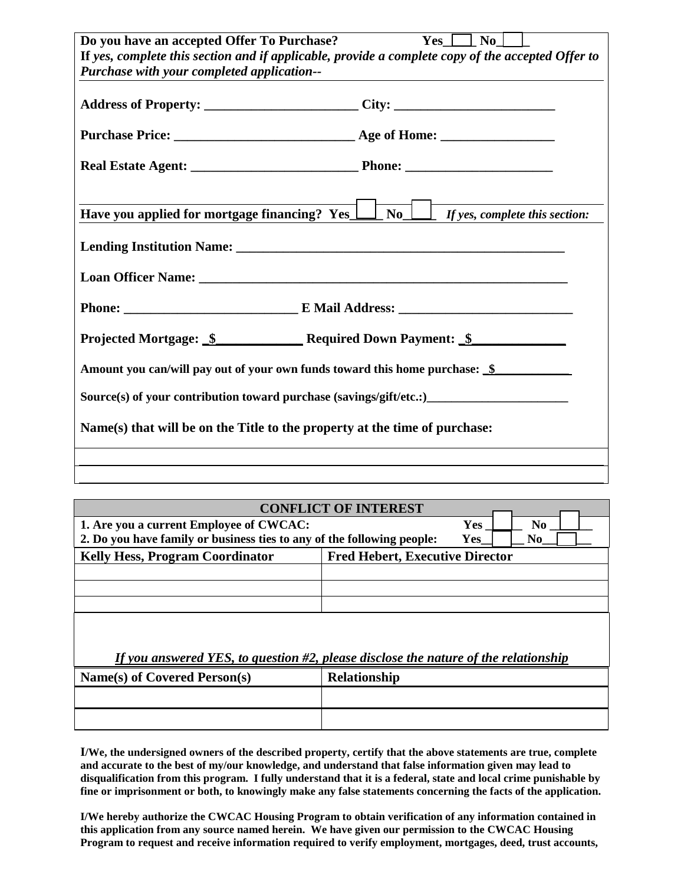| Do you have an accepted Offer To Purchase?                                                        | $Yes \mid No \mid$                                                             |  |  |  |  |
|---------------------------------------------------------------------------------------------------|--------------------------------------------------------------------------------|--|--|--|--|
| If yes, complete this section and if applicable, provide a complete copy of the accepted Offer to |                                                                                |  |  |  |  |
| Purchase with your completed application--                                                        |                                                                                |  |  |  |  |
| Address of Property: ______________________City: _______________________________                  |                                                                                |  |  |  |  |
|                                                                                                   |                                                                                |  |  |  |  |
|                                                                                                   |                                                                                |  |  |  |  |
|                                                                                                   |                                                                                |  |  |  |  |
| Have you applied for mortgage financing? Yes_l                                                    | $\begin{array}{ c c c c c } \hline \end{array}$ if yes, complete this section: |  |  |  |  |
|                                                                                                   |                                                                                |  |  |  |  |
|                                                                                                   |                                                                                |  |  |  |  |
|                                                                                                   |                                                                                |  |  |  |  |
| Projected Mortgage: \$ Required Down Payment: \$                                                  |                                                                                |  |  |  |  |
| Amount you can/will pay out of your own funds toward this home purchase: \$                       |                                                                                |  |  |  |  |
| Source(s) of your contribution toward purchase (savings/gift/etc.:)                               |                                                                                |  |  |  |  |
| Name(s) that will be on the Title to the property at the time of purchase:                        |                                                                                |  |  |  |  |
|                                                                                                   |                                                                                |  |  |  |  |
|                                                                                                   |                                                                                |  |  |  |  |

| <b>CONFLICT OF INTEREST</b>                                                            |                                        |  |  |  |  |
|----------------------------------------------------------------------------------------|----------------------------------------|--|--|--|--|
| 1. Are you a current Employee of CWCAC:                                                | N <sub>0</sub><br><b>Yes</b>           |  |  |  |  |
| 2. Do you have family or business ties to any of the following people:                 | Yes<br>N <sub>0</sub>                  |  |  |  |  |
| <b>Kelly Hess, Program Coordinator</b>                                                 | <b>Fred Hebert, Executive Director</b> |  |  |  |  |
|                                                                                        |                                        |  |  |  |  |
|                                                                                        |                                        |  |  |  |  |
|                                                                                        |                                        |  |  |  |  |
| If you answered YES, to question $#2$ , please disclose the nature of the relationship |                                        |  |  |  |  |
| Name(s) of Covered Person(s)                                                           | <b>Relationship</b>                    |  |  |  |  |
|                                                                                        |                                        |  |  |  |  |
|                                                                                        |                                        |  |  |  |  |
|                                                                                        |                                        |  |  |  |  |

**I/We, the undersigned owners of the described property, certify that the above statements are true, complete and accurate to the best of my/our knowledge, and understand that false information given may lead to disqualification from this program. I fully understand that it is a federal, state and local crime punishable by fine or imprisonment or both, to knowingly make any false statements concerning the facts of the application.**

**I/We hereby authorize the CWCAC Housing Program to obtain verification of any information contained in this application from any source named herein. We have given our permission to the CWCAC Housing**  Program to request and receive information required to verify employment, mortgages, deed, trust accounts,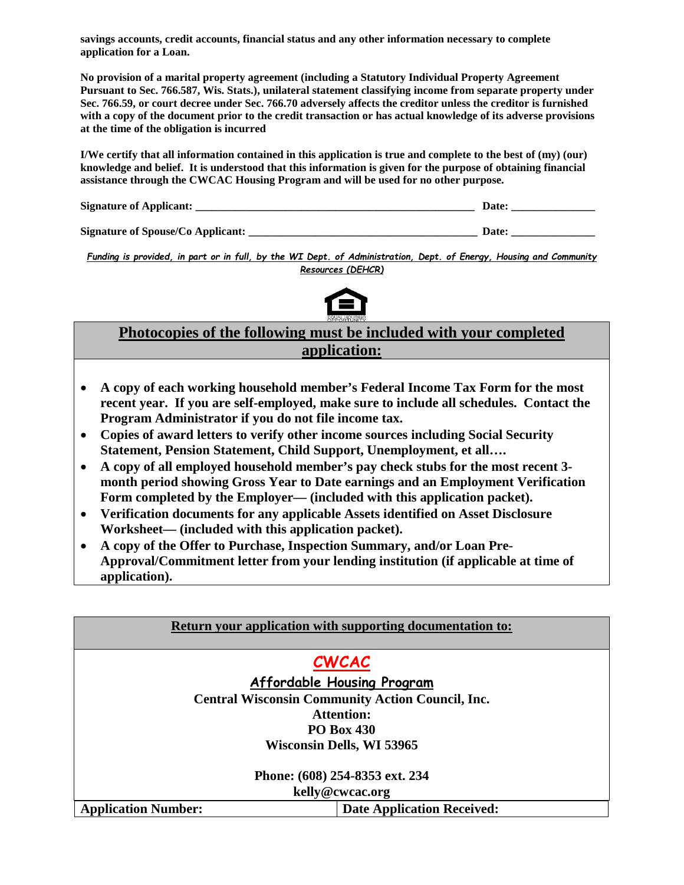**savings accounts, credit accounts, financial status and any other information necessary to complete application for a Loan.**

**No provision of a marital property agreement (including a Statutory Individual Property Agreement Pursuant to Sec. 766.587, Wis. Stats.), unilateral statement classifying income from separate property under Sec. 766.59, or court decree under Sec. 766.70 adversely affects the creditor unless the creditor is furnished with a copy of the document prior to the credit transaction or has actual knowledge of its adverse provisions at the time of the obligation is incurred**

**I/We certify that all information contained in this application is true and complete to the best of (my) (our) knowledge and belief. It is understood that this information is given for the purpose of obtaining financial assistance through the CWCAC Housing Program and will be used for no other purpose.**

| <b>Signature of Applicant:</b> |  |
|--------------------------------|--|
|                                |  |

**Signature of Spouse/Co Applicant: \_\_\_\_\_\_\_\_\_\_\_\_\_\_\_\_\_\_\_\_\_\_\_\_\_\_\_\_\_\_\_\_\_\_\_\_\_\_\_\_\_ Date: \_\_\_\_\_\_\_\_\_\_\_\_\_\_\_**

*Funding is provided, in part or in full, by the WI Dept. of Administration, Dept. of Energy, Housing and Community Resources (DEHCR)*



## **Photocopies of the following must be included with your completed application:**

- **A copy of each working household member's Federal Income Tax Form for the most recent year. If you are self-employed, make sure to include all schedules. Contact the Program Administrator if you do not file income tax.**
- **Copies of award letters to verify other income sources including Social Security Statement, Pension Statement, Child Support, Unemployment, et all….**

l

- **A copy of all employed household member's pay check stubs for the most recent 3 month period showing Gross Year to Date earnings and an Employment Verification Form completed by the Employer— (included with this application packet).**
- **Verification documents for any applicable Assets identified on Asset Disclosure Worksheet— (included with this application packet).**
- **A copy of the Offer to Purchase, Inspection Summary, and/or Loan Pre-Approval/Commitment letter from your lending institution (if applicable at time of application).**

| <b>Return your application with supporting documentation to:</b> |                                                         |  |
|------------------------------------------------------------------|---------------------------------------------------------|--|
|                                                                  |                                                         |  |
|                                                                  | <b>CWCAC</b>                                            |  |
|                                                                  | Affordable Housing Program                              |  |
|                                                                  | <b>Central Wisconsin Community Action Council, Inc.</b> |  |
|                                                                  | <b>Attention:</b>                                       |  |
|                                                                  | <b>PO Box 430</b>                                       |  |
| <b>Wisconsin Dells, WI 53965</b>                                 |                                                         |  |
|                                                                  |                                                         |  |
| Phone: (608) 254-8353 ext. 234                                   |                                                         |  |
| kelly@cwcac.org                                                  |                                                         |  |
| <b>Application Number:</b>                                       | <b>Date Application Received:</b>                       |  |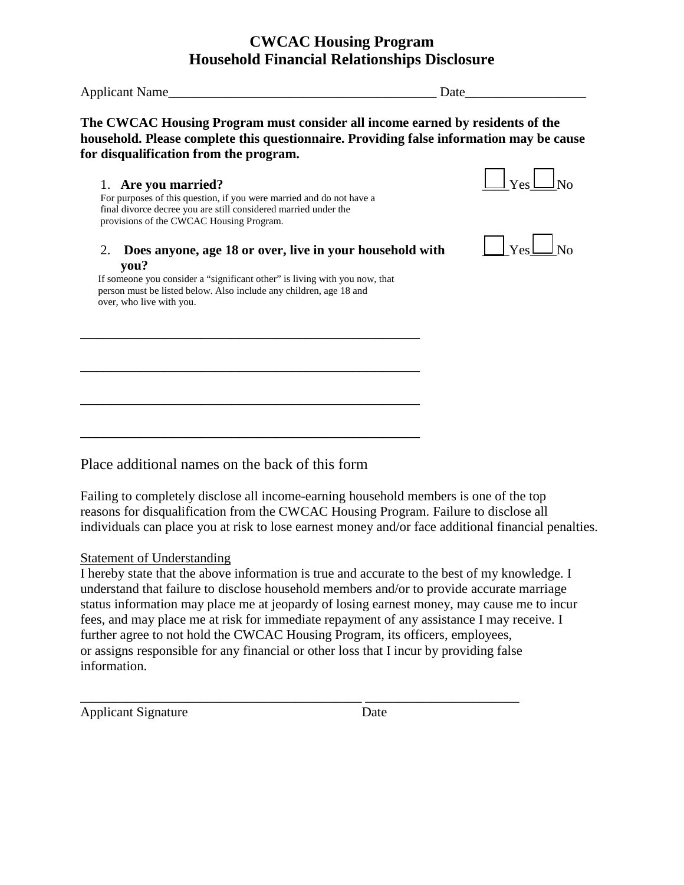## **CWCAC Housing Program Household Financial Relationships Disclosure**

Applicant Name Date

**The CWCAC Housing Program must consider all income earned by residents of the household. Please complete this questionnaire. Providing false information may be cause for disqualification from the program.** 

1. Are you married?  $\Box$  Yes  $\Box$  No For purposes of this question, if you were married and do not have a final divorce decree you are still considered married under the provisions of the CWCAC Housing Program.

2. Does anyone, age 18 or over, live in your household with **you?** 

If someone you consider a "significant other" is living with you now, that person must be listed below. Also include any children, age 18 and over, who live with you.

\_\_\_\_\_\_\_\_\_\_\_\_\_\_\_\_\_\_\_\_\_\_\_\_\_\_\_\_\_\_\_\_\_\_\_\_\_\_\_\_\_\_\_\_\_

\_\_\_\_\_\_\_\_\_\_\_\_\_\_\_\_\_\_\_\_\_\_\_\_\_\_\_\_\_\_\_\_\_\_\_\_\_\_\_\_\_\_\_\_\_

\_\_\_\_\_\_\_\_\_\_\_\_\_\_\_\_\_\_\_\_\_\_\_\_\_\_\_\_\_\_\_\_\_\_\_\_\_\_\_\_\_\_\_\_\_

\_\_\_\_\_\_\_\_\_\_\_\_\_\_\_\_\_\_\_\_\_\_\_\_\_\_\_\_\_\_\_\_\_\_\_\_\_\_\_\_\_\_\_\_\_





Place additional names on the back of this form

Failing to completely disclose all income-earning household members is one of the top reasons for disqualification from the CWCAC Housing Program. Failure to disclose all individuals can place you at risk to lose earnest money and/or face additional financial penalties.

### Statement of Understanding

I hereby state that the above information is true and accurate to the best of my knowledge. I understand that failure to disclose household members and/or to provide accurate marriage status information may place me at jeopardy of losing earnest money, may cause me to incur fees, and may place me at risk for immediate repayment of any assistance I may receive. I further agree to not hold the CWCAC Housing Program, its officers, employees, or assigns responsible for any financial or other loss that I incur by providing false information.

\_\_\_\_\_\_\_\_\_\_\_\_\_\_\_\_\_\_\_\_\_\_\_\_\_\_\_\_\_\_\_\_\_\_\_\_\_\_\_\_\_\_ \_\_\_\_\_\_\_\_\_\_\_\_\_\_\_\_\_\_\_\_\_\_\_

Applicant Signature Date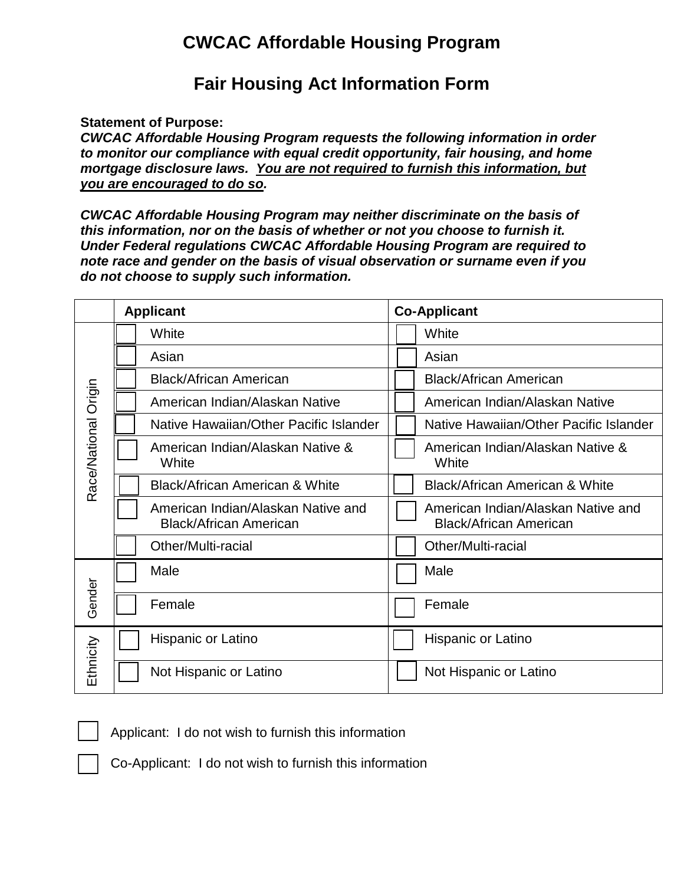# **CWCAC Affordable Housing Program**

# **Fair Housing Act Information Form**

**Statement of Purpose:**

*CWCAC Affordable Housing Program requests the following information in order to monitor our compliance with equal credit opportunity, fair housing, and home mortgage disclosure laws. You are not required to furnish this information, but you are encouraged to do so.* 

*CWCAC Affordable Housing Program may neither discriminate on the basis of this information, nor on the basis of whether or not you choose to furnish it. Under Federal regulations CWCAC Affordable Housing Program are required to note race and gender on the basis of visual observation or surname even if you do not choose to supply such information.*

|                      | <b>Applicant</b>                                                    | <b>Co-Applicant</b> |                                                                     |
|----------------------|---------------------------------------------------------------------|---------------------|---------------------------------------------------------------------|
|                      | White                                                               |                     | White                                                               |
|                      | Asian                                                               |                     | Asian                                                               |
|                      | <b>Black/African American</b>                                       |                     | <b>Black/African American</b>                                       |
|                      | American Indian/Alaskan Native                                      |                     | American Indian/Alaskan Native                                      |
|                      | Native Hawaiian/Other Pacific Islander                              |                     | Native Hawaiian/Other Pacific Islander                              |
| Race/National Origin | American Indian/Alaskan Native &<br>White                           |                     | American Indian/Alaskan Native &<br>White                           |
|                      | <b>Black/African American &amp; White</b>                           |                     | <b>Black/African American &amp; White</b>                           |
|                      | American Indian/Alaskan Native and<br><b>Black/African American</b> |                     | American Indian/Alaskan Native and<br><b>Black/African American</b> |
|                      | Other/Multi-racial                                                  |                     | Other/Multi-racial                                                  |
|                      | Male                                                                |                     | Male                                                                |
| Gender               | Female                                                              |                     | Female                                                              |
| Ethnicity            | Hispanic or Latino                                                  |                     | Hispanic or Latino                                                  |
|                      | Not Hispanic or Latino                                              |                     | Not Hispanic or Latino                                              |

Applicant: I do not wish to furnish this information

Co-Applicant: I do not wish to furnish this information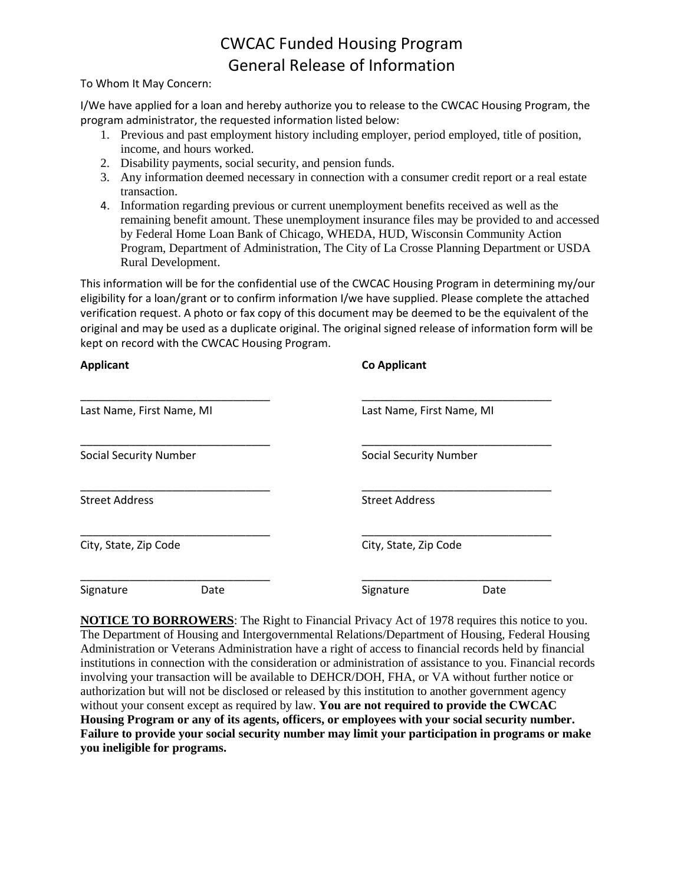# CWCAC Funded Housing Program General Release of Information

To Whom It May Concern:

I/We have applied for a loan and hereby authorize you to release to the CWCAC Housing Program, the program administrator, the requested information listed below:

- 1. Previous and past employment history including employer, period employed, title of position, income, and hours worked.
- 2. Disability payments, social security, and pension funds.
- 3. Any information deemed necessary in connection with a consumer credit report or a real estate transaction.
- 4. Information regarding previous or current unemployment benefits received as well as the remaining benefit amount. These unemployment insurance files may be provided to and accessed by Federal Home Loan Bank of Chicago, WHEDA, HUD, Wisconsin Community Action Program, Department of Administration, The City of La Crosse Planning Department or USDA Rural Development.

This information will be for the confidential use of the CWCAC Housing Program in determining my/our eligibility for a loan/grant or to confirm information I/we have supplied. Please complete the attached verification request. A photo or fax copy of this document may be deemed to be the equivalent of the original and may be used as a duplicate original. The original signed release of information form will be kept on record with the CWCAC Housing Program.

| <b>Applicant</b>              |      | <b>Co Applicant</b>           |      |
|-------------------------------|------|-------------------------------|------|
| Last Name, First Name, MI     |      | Last Name, First Name, MI     |      |
| <b>Social Security Number</b> |      | <b>Social Security Number</b> |      |
| <b>Street Address</b>         |      | <b>Street Address</b>         |      |
| City, State, Zip Code         |      | City, State, Zip Code         |      |
| Signature                     | Date | Signature                     | Date |

**NOTICE TO BORROWERS**: The Right to Financial Privacy Act of 1978 requires this notice to you. The Department of Housing and Intergovernmental Relations/Department of Housing, Federal Housing Administration or Veterans Administration have a right of access to financial records held by financial institutions in connection with the consideration or administration of assistance to you. Financial records involving your transaction will be available to DEHCR/DOH, FHA, or VA without further notice or authorization but will not be disclosed or released by this institution to another government agency without your consent except as required by law. **You are not required to provide the CWCAC Housing Program or any of its agents, officers, or employees with your social security number. Failure to provide your social security number may limit your participation in programs or make you ineligible for programs.**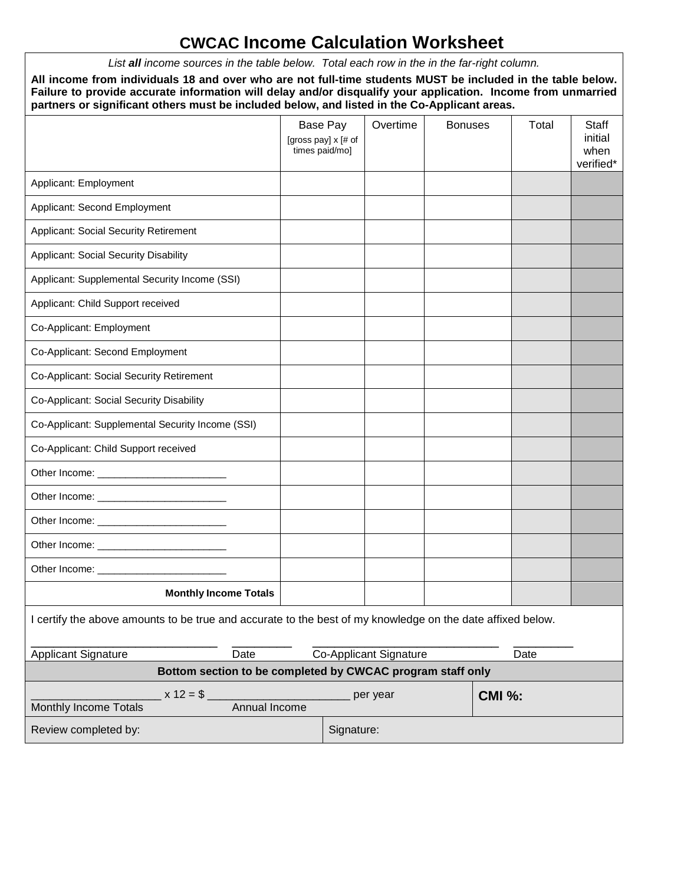# **CWCAC Income Calculation Worksheet**

*List all income sources in the table below. Total each row in the in the far-right column.*

**All income from individuals 18 and over who are not full-time students MUST be included in the table below. Failure to provide accurate information will delay and/or disqualify your application. Income from unmarried partners or significant others must be included below, and listed in the Co-Applicant areas.**

|                                                                                                                                                                                                                                |                                                            |  | Base Pay<br>[gross pay] x [# of<br>times paid/mo] | Overtime               | <b>Bonuses</b> |               | Total | <b>Staff</b><br>initial<br>when<br>verified* |
|--------------------------------------------------------------------------------------------------------------------------------------------------------------------------------------------------------------------------------|------------------------------------------------------------|--|---------------------------------------------------|------------------------|----------------|---------------|-------|----------------------------------------------|
| Applicant: Employment                                                                                                                                                                                                          |                                                            |  |                                                   |                        |                |               |       |                                              |
| Applicant: Second Employment                                                                                                                                                                                                   |                                                            |  |                                                   |                        |                |               |       |                                              |
| Applicant: Social Security Retirement                                                                                                                                                                                          |                                                            |  |                                                   |                        |                |               |       |                                              |
| <b>Applicant: Social Security Disability</b>                                                                                                                                                                                   |                                                            |  |                                                   |                        |                |               |       |                                              |
| Applicant: Supplemental Security Income (SSI)                                                                                                                                                                                  |                                                            |  |                                                   |                        |                |               |       |                                              |
| Applicant: Child Support received                                                                                                                                                                                              |                                                            |  |                                                   |                        |                |               |       |                                              |
| Co-Applicant: Employment                                                                                                                                                                                                       |                                                            |  |                                                   |                        |                |               |       |                                              |
| Co-Applicant: Second Employment                                                                                                                                                                                                |                                                            |  |                                                   |                        |                |               |       |                                              |
| Co-Applicant: Social Security Retirement                                                                                                                                                                                       |                                                            |  |                                                   |                        |                |               |       |                                              |
| Co-Applicant: Social Security Disability                                                                                                                                                                                       |                                                            |  |                                                   |                        |                |               |       |                                              |
| Co-Applicant: Supplemental Security Income (SSI)                                                                                                                                                                               |                                                            |  |                                                   |                        |                |               |       |                                              |
| Co-Applicant: Child Support received                                                                                                                                                                                           |                                                            |  |                                                   |                        |                |               |       |                                              |
|                                                                                                                                                                                                                                |                                                            |  |                                                   |                        |                |               |       |                                              |
|                                                                                                                                                                                                                                |                                                            |  |                                                   |                        |                |               |       |                                              |
|                                                                                                                                                                                                                                |                                                            |  |                                                   |                        |                |               |       |                                              |
|                                                                                                                                                                                                                                |                                                            |  |                                                   |                        |                |               |       |                                              |
| Other Income: New York Changes and Changes and Changes and Changes and Changes and Changes and Changes and Changes and Changes and Changes and Changes and Changes and Changes and Changes and Changes and Changes and Changes |                                                            |  |                                                   |                        |                |               |       |                                              |
| <b>Monthly Income Totals</b>                                                                                                                                                                                                   |                                                            |  |                                                   |                        |                |               |       |                                              |
| I certify the above amounts to be true and accurate to the best of my knowledge on the date affixed below.                                                                                                                     |                                                            |  |                                                   |                        |                |               |       |                                              |
| <b>Applicant Signature</b>                                                                                                                                                                                                     | Date                                                       |  |                                                   | Co-Applicant Signature |                |               | Date  |                                              |
|                                                                                                                                                                                                                                | Bottom section to be completed by CWCAC program staff only |  |                                                   |                        |                |               |       |                                              |
| $x 12 = $$<br>Monthly Income Totals                                                                                                                                                                                            | Annual Income                                              |  |                                                   | per year               |                | <b>CMI %:</b> |       |                                              |
| Review completed by:                                                                                                                                                                                                           |                                                            |  | Signature:                                        |                        |                |               |       |                                              |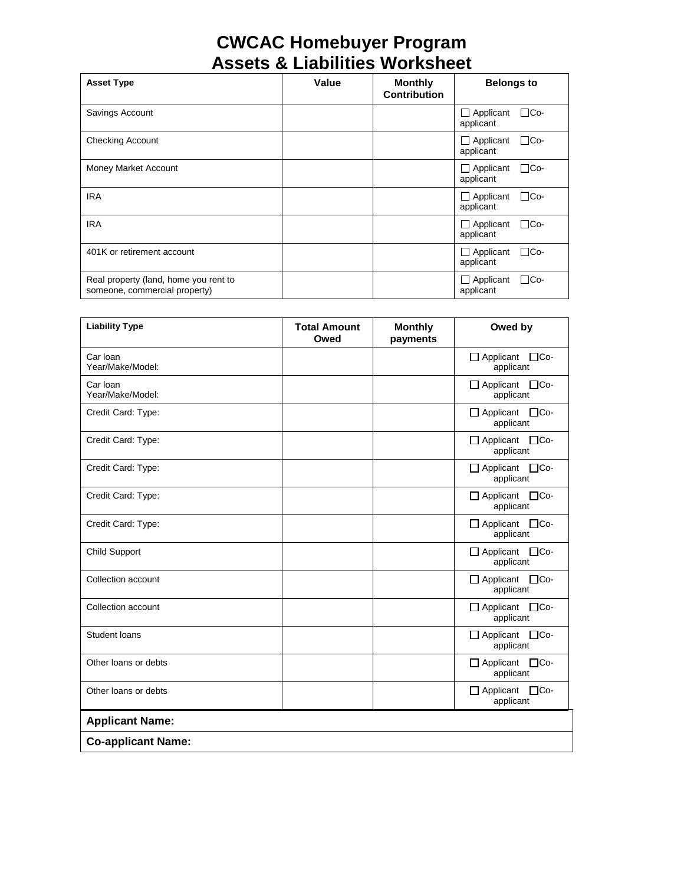# **CWCAC Homebuyer Program Assets & Liabilities Worksheet**

| <b>Asset Type</b>                                                      | Value | <b>Monthly</b><br><b>Contribution</b> | <b>Belongs to</b>                           |
|------------------------------------------------------------------------|-------|---------------------------------------|---------------------------------------------|
| Savings Account                                                        |       |                                       | $\Box$ Co-<br>$\Box$ Applicant<br>applicant |
| <b>Checking Account</b>                                                |       |                                       | ∏Co-<br>$\Box$ Applicant<br>applicant       |
| Money Market Account                                                   |       |                                       | $\Box$ Co-<br>$\Box$ Applicant<br>applicant |
| <b>IRA</b>                                                             |       |                                       | ⊟Co-<br>$\Box$ Applicant<br>applicant       |
| <b>IRA</b>                                                             |       |                                       | $\Box$ Co-<br>Applicant<br>applicant        |
| 401K or retirement account                                             |       |                                       | $\Box$ Co-<br>$\Box$ Applicant<br>applicant |
| Real property (land, home you rent to<br>someone, commercial property) |       |                                       | $\Box$ Co-<br>$\Box$ Applicant<br>applicant |

| <b>Liability Type</b>        | <b>Total Amount</b><br>Owed | <b>Monthly</b><br>payments | Owed by                                     |
|------------------------------|-----------------------------|----------------------------|---------------------------------------------|
| Car Ioan<br>Year/Make/Model: |                             |                            | $\Box$ Applicant<br>$\Box$ Co-<br>applicant |
| Car Ioan<br>Year/Make/Model: |                             |                            | □ Applicant □ Co-<br>applicant              |
| Credit Card: Type:           |                             |                            | □ Applicant □Co-<br>applicant               |
| Credit Card: Type:           |                             |                            | □ Applicant □Co-<br>applicant               |
| Credit Card: Type:           |                             |                            | $\Box$ Applicant $\Box$ Co-<br>applicant    |
| Credit Card: Type:           |                             |                            | $\Box$ Applicant<br>$\Box$ Co-<br>applicant |
| Credit Card: Type:           |                             |                            | $\Box$ Applicant $\Box$ Co-<br>applicant    |
| <b>Child Support</b>         |                             |                            | $\Box$ Applicant $\Box$ Co-<br>applicant    |
| Collection account           |                             |                            | $\Box$ Applicant<br>$\Box$ Co-<br>applicant |
| Collection account           |                             |                            | □ Applicant □ Co-<br>applicant              |
| Student loans                |                             |                            | $\Box$ Applicant<br>$\Box$ Co-<br>applicant |
| Other loans or debts         |                             |                            | $\Box$ Applicant $\Box$ Co-<br>applicant    |
| Other loans or debts         |                             |                            | □ Applicant □ Co-<br>applicant              |
| <b>Applicant Name:</b>       |                             |                            |                                             |
| <b>Co-applicant Name:</b>    |                             |                            |                                             |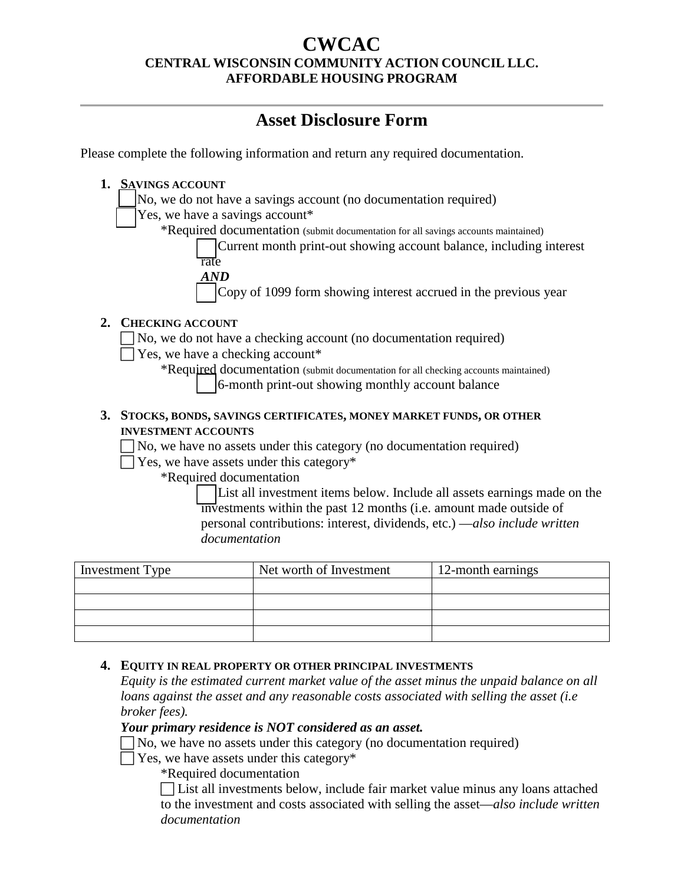## **CWCAC CENTRAL WISCONSIN COMMUNITY ACTION COUNCIL LLC. AFFORDABLE HOUSING PROGRAM**

# **Asset Disclosure Form**

Please complete the following information and return any required documentation.

| <b>SAVINGS ACCOUNT</b><br>1.                                                        |
|-------------------------------------------------------------------------------------|
| No, we do not have a savings account (no documentation required)                    |
| Yes, we have a savings account*                                                     |
| *Required documentation (submit documentation for all savings accounts maintained)  |
| Current month print-out showing account balance, including interest<br>rate         |
| AND                                                                                 |
| Copy of 1099 form showing interest accrued in the previous year                     |
| 2.<br><b>CHECKING ACCOUNT</b>                                                       |
| No, we do not have a checking account (no documentation required)                   |
| Yes, we have a checking account*                                                    |
| *Required documentation (submit documentation for all checking accounts maintained) |
| 6-month print-out showing monthly account balance                                   |
| STOCKS, BONDS, SAVINGS CERTIFICATES, MONEY MARKET FUNDS, OR OTHER<br>3.             |
| <b>INVESTMENT ACCOUNTS</b>                                                          |
| No, we have no assets under this category (no documentation required)               |
| Yes, we have assets under this category*                                            |
| *Required documentation                                                             |
| List all investment items below. Include all assets earnings made on the            |

investments within the past 12 months (i.e. amount made outside of personal contributions: interest, dividends, etc.) —*also include written documentation* 

| Investment Type | Net worth of Investment | 12-month earnings |
|-----------------|-------------------------|-------------------|
|                 |                         |                   |
|                 |                         |                   |
|                 |                         |                   |
|                 |                         |                   |

#### **4. EQUITY IN REAL PROPERTY OR OTHER PRINCIPAL INVESTMENTS**

*Equity is the estimated current market value of the asset minus the unpaid balance on all loans against the asset and any reasonable costs associated with selling the asset (i.e broker fees).*

#### *Your primary residence is NOT considered as an asset.*

 $\Box$  No, we have no assets under this category (no documentation required)

 $\Box$  Yes, we have assets under this category\*

\*Required documentation

 List all investments below, include fair market value minus any loans attached to the investment and costs associated with selling the asset—*also include written documentation*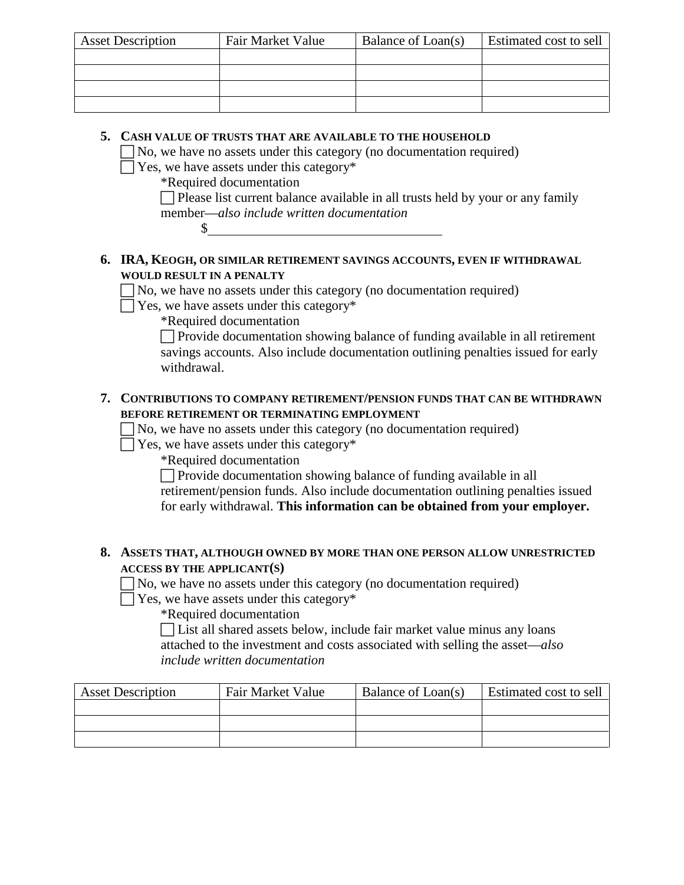| <b>Asset Description</b> | Fair Market Value | Balance of Loan(s) | Estimated cost to sell |
|--------------------------|-------------------|--------------------|------------------------|
|                          |                   |                    |                        |
|                          |                   |                    |                        |
|                          |                   |                    |                        |
|                          |                   |                    |                        |

#### **5. CASH VALUE OF TRUSTS THAT ARE AVAILABLE TO THE HOUSEHOLD**

 $\Box$  No, we have no assets under this category (no documentation required)

 $\Box$  Yes, we have assets under this category\*

\*Required documentation

 $\mathcal{S}_-$ 

 $\Box$  Please list current balance available in all trusts held by your or any family member—*also include written documentation*

#### **6. IRA, KEOGH, OR SIMILAR RETIREMENT SAVINGS ACCOUNTS, EVEN IF WITHDRAWAL WOULD RESULT IN A PENALTY**

 $\Box$  No, we have no assets under this category (no documentation required)

 $\Box$  Yes, we have assets under this category\*

\*Required documentation

 $\Box$  Provide documentation showing balance of funding available in all retirement savings accounts. Also include documentation outlining penalties issued for early withdrawal.

### **7. CONTRIBUTIONS TO COMPANY RETIREMENT/PENSION FUNDS THAT CAN BE WITHDRAWN BEFORE RETIREMENT OR TERMINATING EMPLOYMENT**

 $\Box$  No, we have no assets under this category (no documentation required)

 $\Box$  Yes, we have assets under this category\*

\*Required documentation

 $\Box$  Provide documentation showing balance of funding available in all retirement/pension funds. Also include documentation outlining penalties issued for early withdrawal. **This information can be obtained from your employer.**

#### **8. ASSETS THAT, ALTHOUGH OWNED BY MORE THAN ONE PERSON ALLOW UNRESTRICTED ACCESS BY THE APPLICANT(S)**

 $\Box$  No, we have no assets under this category (no documentation required)

 $\Box$  Yes, we have assets under this category\*

\*Required documentation

 List all shared assets below, include fair market value minus any loans attached to the investment and costs associated with selling the asset—*also include written documentation*

| <b>Asset Description</b> | Fair Market Value | Balance of Loan(s) | Estimated cost to sell |
|--------------------------|-------------------|--------------------|------------------------|
|                          |                   |                    |                        |
|                          |                   |                    |                        |
|                          |                   |                    |                        |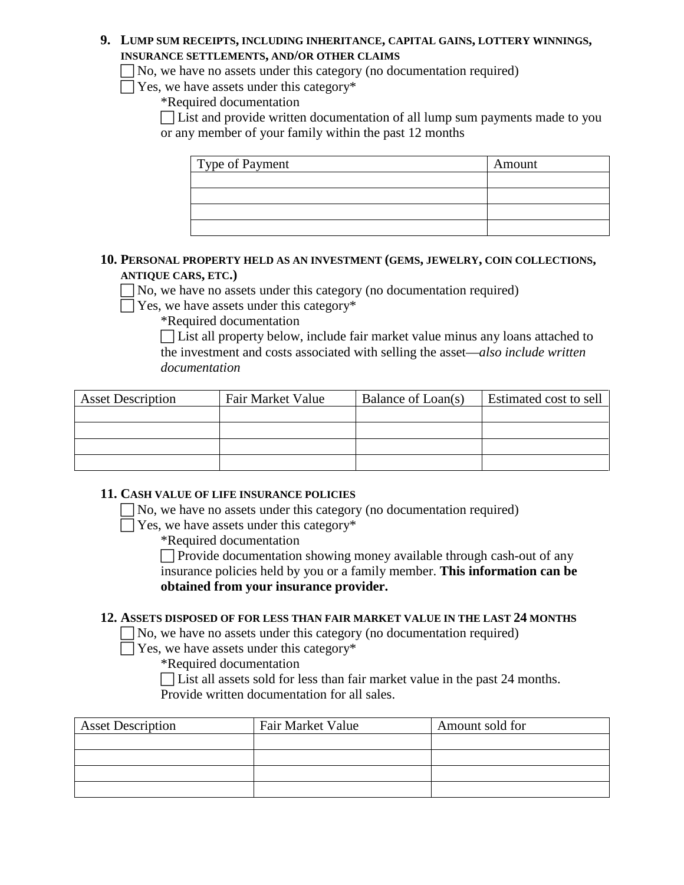#### **9. LUMP SUM RECEIPTS, INCLUDING INHERITANCE, CAPITAL GAINS, LOTTERY WINNINGS, INSURANCE SETTLEMENTS, AND/OR OTHER CLAIMS**

No, we have no assets under this category (no documentation required)

 $\Box$  Yes, we have assets under this category\*

\*Required documentation

 List and provide written documentation of all lump sum payments made to you or any member of your family within the past 12 months

| Type of Payment | Amount |
|-----------------|--------|
|                 |        |
|                 |        |
|                 |        |
|                 |        |

#### **10. PERSONAL PROPERTY HELD AS AN INVESTMENT (GEMS, JEWELRY, COIN COLLECTIONS, ANTIQUE CARS, ETC.)**

 $\Box$  No, we have no assets under this category (no documentation required)

 $\Box$  Yes, we have assets under this category\*

\*Required documentation

 List all property below, include fair market value minus any loans attached to the investment and costs associated with selling the asset—*also include written documentation*

| <b>Asset Description</b> | Fair Market Value | Balance of Loan(s) | Estimated cost to sell |
|--------------------------|-------------------|--------------------|------------------------|
|                          |                   |                    |                        |
|                          |                   |                    |                        |
|                          |                   |                    |                        |
|                          |                   |                    |                        |

### **11. CASH VALUE OF LIFE INSURANCE POLICIES**

 $\Box$  No, we have no assets under this category (no documentation required)

 $\Box$  Yes, we have assets under this category\*

\*Required documentation

 $\Box$  Provide documentation showing money available through cash-out of any insurance policies held by you or a family member. **This information can be obtained from your insurance provider.** 

### **12. ASSETS DISPOSED OF FOR LESS THAN FAIR MARKET VALUE IN THE LAST 24 MONTHS**

 $\Box$  No, we have no assets under this category (no documentation required)

 $\Box$  Yes, we have assets under this category\*

\*Required documentation

 List all assets sold for less than fair market value in the past 24 months. Provide written documentation for all sales.

| <b>Asset Description</b> | Fair Market Value | Amount sold for |
|--------------------------|-------------------|-----------------|
|                          |                   |                 |
|                          |                   |                 |
|                          |                   |                 |
|                          |                   |                 |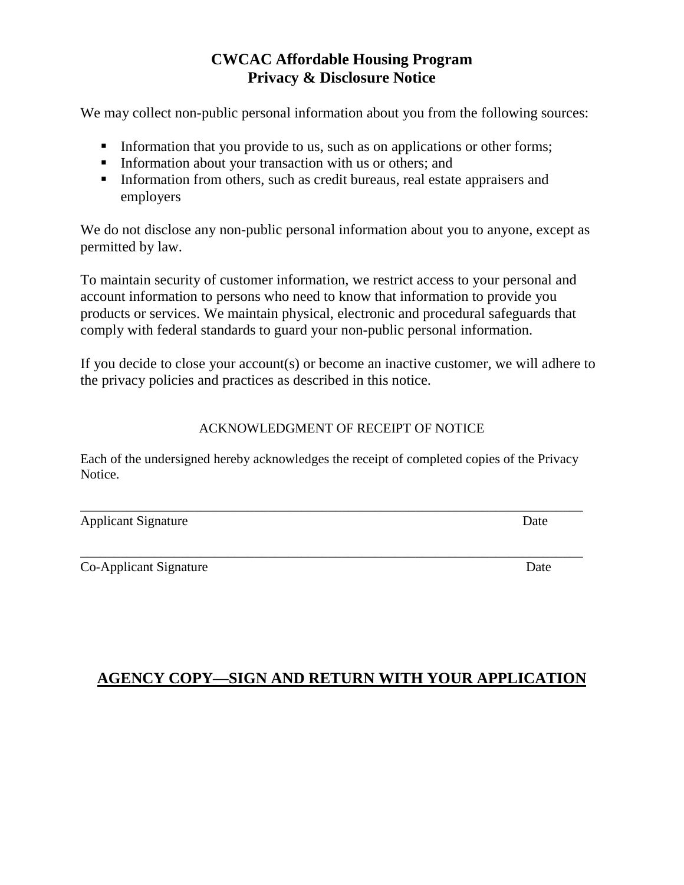# **CWCAC Affordable Housing Program Privacy & Disclosure Notice**

We may collect non-public personal information about you from the following sources:

- Information that you provide to us, such as on applications or other forms;
- **Information about your transaction with us or others; and**
- Information from others, such as credit bureaus, real estate appraisers and employers

We do not disclose any non-public personal information about you to anyone, except as permitted by law.

To maintain security of customer information, we restrict access to your personal and account information to persons who need to know that information to provide you products or services. We maintain physical, electronic and procedural safeguards that comply with federal standards to guard your non-public personal information.

If you decide to close your account(s) or become an inactive customer, we will adhere to the privacy policies and practices as described in this notice.

## ACKNOWLEDGMENT OF RECEIPT OF NOTICE

Each of the undersigned hereby acknowledges the receipt of completed copies of the Privacy Notice.

\_\_\_\_\_\_\_\_\_\_\_\_\_\_\_\_\_\_\_\_\_\_\_\_\_\_\_\_\_\_\_\_\_\_\_\_\_\_\_\_\_\_\_\_\_\_\_\_\_\_\_\_\_\_\_\_\_\_\_\_\_\_\_\_\_\_\_\_\_\_\_\_\_\_\_

\_\_\_\_\_\_\_\_\_\_\_\_\_\_\_\_\_\_\_\_\_\_\_\_\_\_\_\_\_\_\_\_\_\_\_\_\_\_\_\_\_\_\_\_\_\_\_\_\_\_\_\_\_\_\_\_\_\_\_\_\_\_\_\_\_\_\_\_\_\_\_\_\_\_\_

Applicant Signature Date

Co-Applicant Signature Date

## **AGENCY COPY—SIGN AND RETURN WITH YOUR APPLICATION**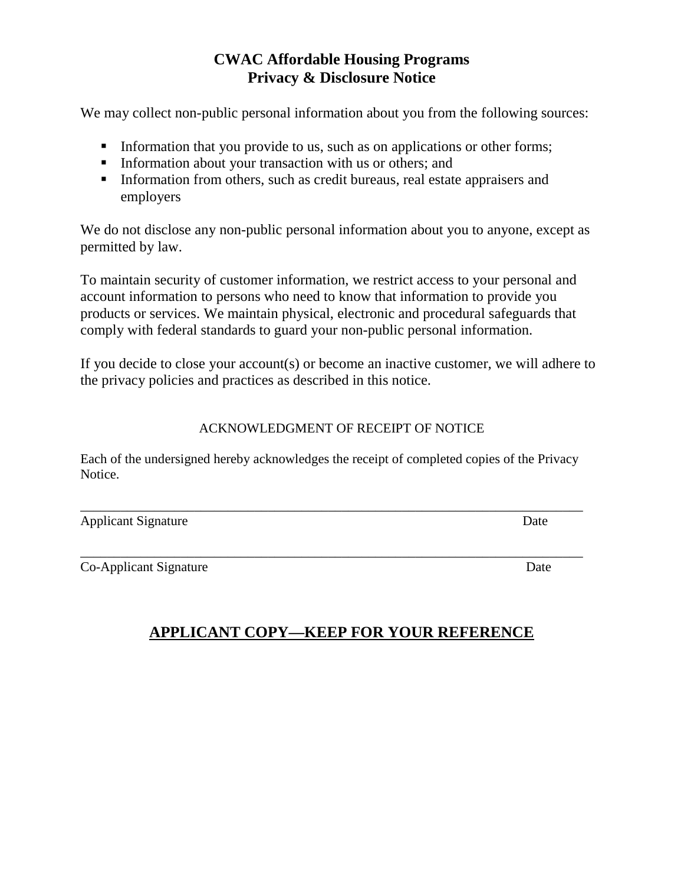# **CWAC Affordable Housing Programs Privacy & Disclosure Notice**

We may collect non-public personal information about you from the following sources:

- Information that you provide to us, such as on applications or other forms;
- **Information about your transaction with us or others; and**
- Information from others, such as credit bureaus, real estate appraisers and employers

We do not disclose any non-public personal information about you to anyone, except as permitted by law.

To maintain security of customer information, we restrict access to your personal and account information to persons who need to know that information to provide you products or services. We maintain physical, electronic and procedural safeguards that comply with federal standards to guard your non-public personal information.

If you decide to close your account(s) or become an inactive customer, we will adhere to the privacy policies and practices as described in this notice.

## ACKNOWLEDGMENT OF RECEIPT OF NOTICE

Each of the undersigned hereby acknowledges the receipt of completed copies of the Privacy Notice.

\_\_\_\_\_\_\_\_\_\_\_\_\_\_\_\_\_\_\_\_\_\_\_\_\_\_\_\_\_\_\_\_\_\_\_\_\_\_\_\_\_\_\_\_\_\_\_\_\_\_\_\_\_\_\_\_\_\_\_\_\_\_\_\_\_\_\_\_\_\_\_\_\_\_\_

Applicant Signature Date

Co-Applicant Signature Date

**APPLICANT COPY—KEEP FOR YOUR REFERENCE**

\_\_\_\_\_\_\_\_\_\_\_\_\_\_\_\_\_\_\_\_\_\_\_\_\_\_\_\_\_\_\_\_\_\_\_\_\_\_\_\_\_\_\_\_\_\_\_\_\_\_\_\_\_\_\_\_\_\_\_\_\_\_\_\_\_\_\_\_\_\_\_\_\_\_\_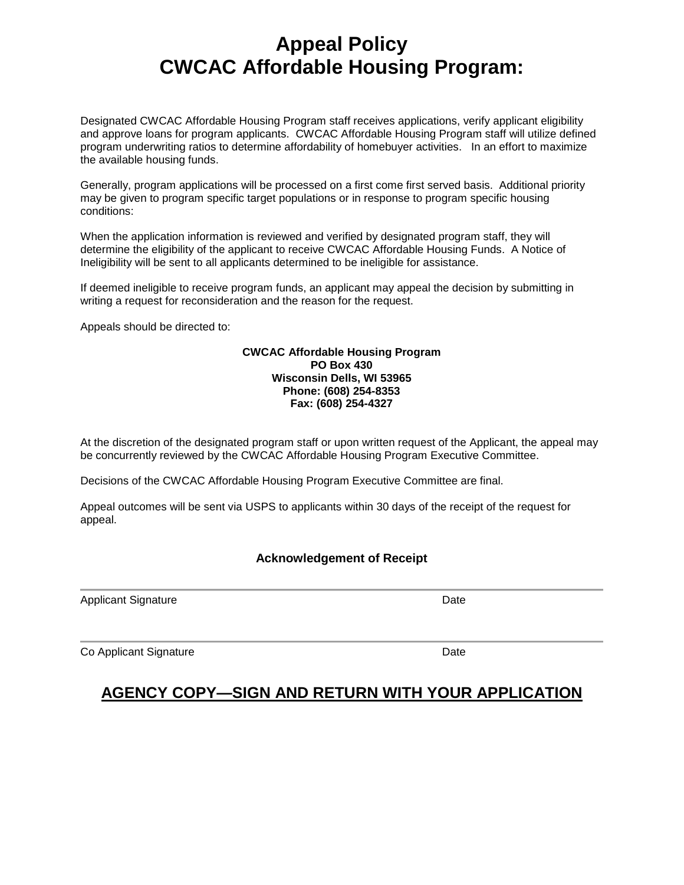# **Appeal Policy CWCAC Affordable Housing Program:**

Designated CWCAC Affordable Housing Program staff receives applications, verify applicant eligibility and approve loans for program applicants. CWCAC Affordable Housing Program staff will utilize defined program underwriting ratios to determine affordability of homebuyer activities. In an effort to maximize the available housing funds.

Generally, program applications will be processed on a first come first served basis. Additional priority may be given to program specific target populations or in response to program specific housing conditions:

When the application information is reviewed and verified by designated program staff, they will determine the eligibility of the applicant to receive CWCAC Affordable Housing Funds. A Notice of Ineligibility will be sent to all applicants determined to be ineligible for assistance.

If deemed ineligible to receive program funds, an applicant may appeal the decision by submitting in writing a request for reconsideration and the reason for the request.

Appeals should be directed to:

#### **CWCAC Affordable Housing Program PO Box 430 Wisconsin Dells, WI 53965 Phone: (608) 254-8353 Fax: (608) 254-4327**

At the discretion of the designated program staff or upon written request of the Applicant, the appeal may be concurrently reviewed by the CWCAC Affordable Housing Program Executive Committee.

Decisions of the CWCAC Affordable Housing Program Executive Committee are final.

Appeal outcomes will be sent via USPS to applicants within 30 days of the receipt of the request for appeal.

#### **Acknowledgement of Receipt**

Applicant Signature Date Date

Co Applicant Signature Date Date Date

**AGENCY COPY—SIGN AND RETURN WITH YOUR APPLICATION**